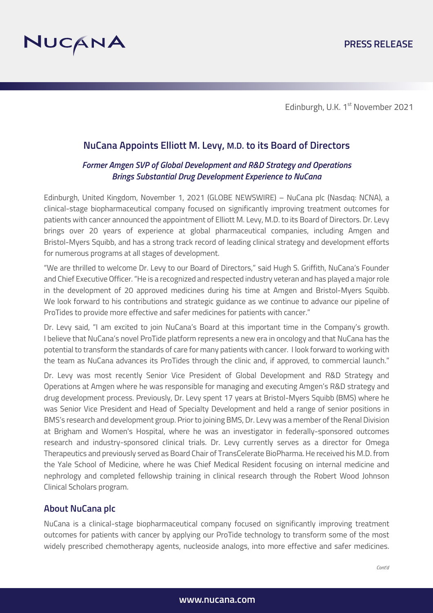

Edinburgh, U.K. 1<sup>st</sup> November 2021

# **NuCana Appoints Elliott M. Levy, M.D. to its Board of Directors**

### *Former Amgen SVP of Global Development and R&D Strategy and Operations Brings Substantial Drug Development Experience to NuCana*

Edinburgh, United Kingdom, November 1, 2021 (GLOBE NEWSWIRE) – NuCana plc (Nasdaq: NCNA), a clinical-stage biopharmaceutical company focused on significantly improving treatment outcomes for patients with cancer announced the appointment of Elliott M. Levy, M.D. to its Board of Directors. Dr. Levy brings over 20 years of experience at global pharmaceutical companies, including Amgen and Bristol-Myers Squibb, and has a strong track record of leading clinical strategy and development efforts for numerous programs at all stages of development.

"We are thrilled to welcome Dr. Levy to our Board of Directors," said Hugh S. Griffith, NuCana's Founder and Chief Executive Officer. "He is a recognized and respected industry veteran and has played a major role in the development of 20 approved medicines during his time at Amgen and Bristol-Myers Squibb. We look forward to his contributions and strategic guidance as we continue to advance our pipeline of ProTides to provide more effective and safer medicines for patients with cancer."

Dr. Levy said, "I am excited to join NuCana's Board at this important time in the Company's growth. I believe that NuCana's novel ProTide platform represents a new era in oncology and that NuCana has the potential to transform the standards of care for many patients with cancer. I look forward to working with the team as NuCana advances its ProTides through the clinic and, if approved, to commercial launch."

Dr. Levy was most recently Senior Vice President of Global Development and R&D Strategy and Operations at Amgen where he was responsible for managing and executing Amgen's R&D strategy and drug development process. Previously, Dr. Levy spent 17 years at Bristol-Myers Squibb (BMS) where he was Senior Vice President and Head of Specialty Development and held a range of senior positions in BMS's research and development group. Prior to joining BMS, Dr. Levy was a member of the Renal Division at Brigham and Women's Hospital, where he was an investigator in federally-sponsored outcomes research and industry-sponsored clinical trials. Dr. Levy currently serves as a director for Omega Therapeutics and previously served as Board Chair of TransCelerate BioPharma. He received his M.D. from the Yale School of Medicine, where he was Chief Medical Resident focusing on internal medicine and nephrology and completed fellowship training in clinical research through the Robert Wood Johnson Clinical Scholars program.

## **About NuCana plc**

NuCana is a clinical-stage biopharmaceutical company focused on significantly improving treatment outcomes for patients with cancer by applying our ProTide technology to transform some of the most widely prescribed chemotherapy agents, nucleoside analogs, into more effective and safer medicines.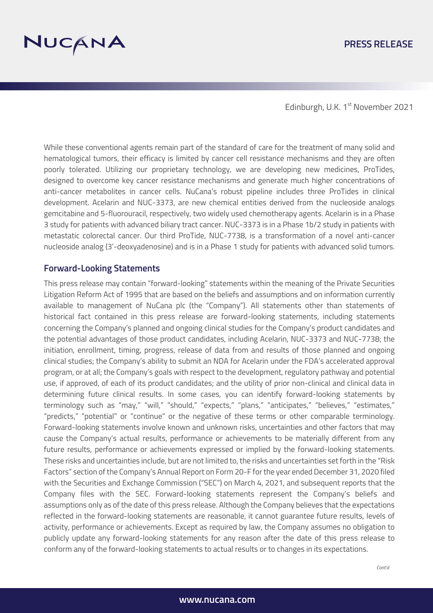

### **PRESS RELEASE**

Edinburgh, U.K. 1st November 2021

While these conventional agents remain part of the standard of care for the treatment of many solid and hematological tumors, their efficacy is limited by cancer cell resistance mechanisms and they are often poorly tolerated. Utilizing our proprietary technology, we are developing new medicines, ProTides, designed to overcome key cancer resistance mechanisms and generate much higher concentrations of anti-cancer metabolites in cancer cells. NuCana's robust pipeline includes three ProTides in clinical development. Acelarin and NUC-3373, are new chemical entities derived from the nucleoside analogs gemcitabine and 5-fluorouracil, respectively, two widely used chemotherapy agents. Acelarin is in a Phase 3 study for patients with advanced biliary tract cancer. NUC-3373 is in a Phase 1b/2 study in patients with metastatic colorectal cancer. Our third ProTide, NUC-7738, is a transformation of a novel anti-cancer nucleoside analog (3'-deoxyadenosine) and is in a Phase 1 study for patients with advanced solid tumors.

#### **Forward-Looking Statements**

This press release may contain "forward-looking" statements within the meaning of the Private Securities Litigation Reform Act of 1995 that are based on the beliefs and assumptions and on information currently available to management of NuCana plc (the "Company"). All statements other than statements of historical fact contained in this press release are forward-looking statements, including statements concerning the Company's planned and ongoing clinical studies for the Company's product candidates and the potential advantages of those product candidates, including Acelarin, NUC-3373 and NUC-7738; the initiation, enrollment, timing, progress, release of data from and results of those planned and ongoing clinical studies; the Company's ability to submit an NDA for Acelarin under the FDA's accelerated approval program, or at all; the Company's goals with respect to the development, regulatory pathway and potential use, if approved, of each of its product candidates; and the utility of prior non-clinical and clinical data in determining future clinical results. In some cases, you can identify forward-looking statements by terminology such as "may," "will," "should," "expects," "plans," "anticipates," "believes," "estimates," "predicts," "potential" or "continue" or the negative of these terms or other comparable terminology. Forward-looking statements involve known and unknown risks, uncertainties and other factors that may cause the Company's actual results, performance or achievements to be materially different from any future results, performance or achievements expressed or implied by the forward-looking statements. These risks and uncertainties include, but are not limited to, the risks and uncertainties set forth in the "Risk Factors" section of the Company's Annual Report on Form 20-F for the year ended December 31, 2020 filed with the Securities and Exchange Commission ("SEC") on March 4, 2021, and subsequent reports that the Company files with the SEC. Forward-looking statements represent the Company's beliefs and assumptions only as of the date of this press release. Although the Company believes that the expectations reflected in the forward-looking statements are reasonable, it cannot guarantee future results, levels of activity, performance or achievements. Except as required by law, the Company assumes no obligation to publicly update any forward-looking statements for any reason after the date of this press release to conform any of the forward-looking statements to actual results or to changes in its expectations.